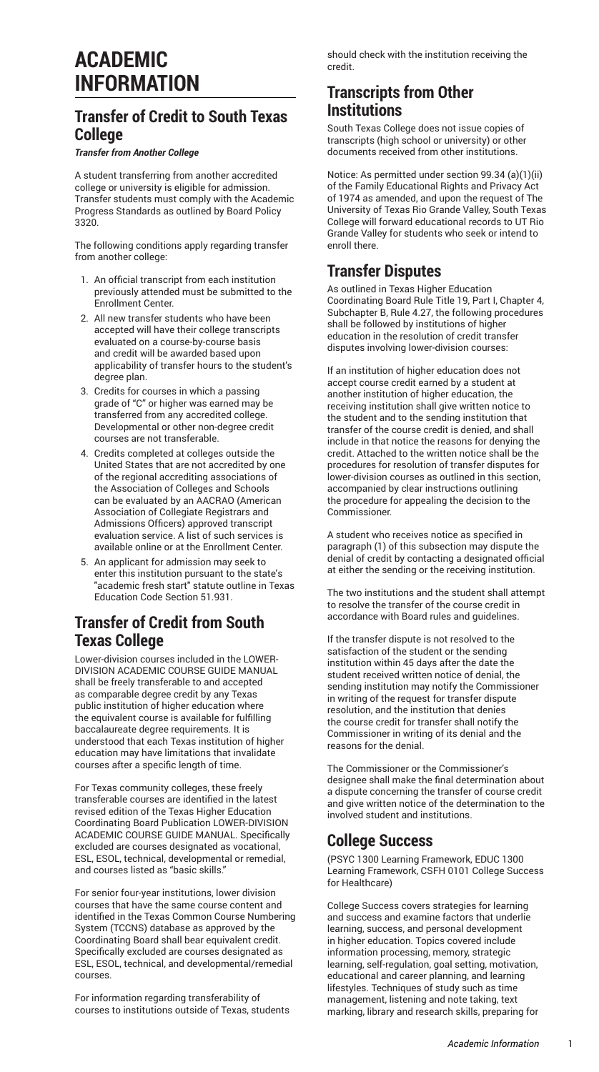# **ACADEMIC INFORMATION**

# **Transfer of Credit to South Texas College**

### *Transfer from Another College*

A student transferring from another accredited college or university is eligible for admission. Transfer students must comply with the Academic Progress Standards as outlined by Board Policy 3320.

The following conditions apply regarding transfer from another college:

- 1. An official transcript from each institution previously attended must be submitted to the Enrollment Center.
- 2. All new transfer students who have been accepted will have their college transcripts evaluated on a course-by-course basis and credit will be awarded based upon applicability of transfer hours to the student's degree plan.
- 3. Credits for courses in which a passing grade of "C" or higher was earned may be transferred from any accredited college. Developmental or other non-degree credit courses are not transferable.
- 4. Credits completed at colleges outside the United States that are not accredited by one of the regional accrediting associations of the Association of Colleges and Schools can be evaluated by an AACRAO (American Association of Collegiate Registrars and Admissions Officers) approved transcript evaluation service. A list of such services is available [online](https://studentservices.southtexascollege.edu/admissions/evaluators.html) or at the Enrollment Center.
- 5. An applicant for admission may seek to enter this institution pursuant to the state's 'academic fresh start" statute outline in Texas Education Code Section 51.931.

# **Transfer of Credit from South Texas College**

Lower-division courses included in the [LOWER-](http://board.thecb.state.tx.us/apps/WorkforceEd/acgm/acgm.htm)DIVISION [ACADEMIC](http://board.thecb.state.tx.us/apps/WorkforceEd/acgm/acgm.htm) COURSE GUIDE MANUAL shall be freely transferable to and accepted as comparable degree credit by any Texas public institution of higher education where the equivalent course is available for fulfilling baccalaureate degree requirements. It is understood that each Texas institution of higher education may have limitations that invalidate courses after a specific length of time.

For Texas community colleges, these freely transferable courses are identified in the latest revised edition of the Texas Higher Education Coordinating Board Publication LOWER-DIVISION ACADEMIC COURSE GUIDE MANUAL. Specifically excluded are courses designated as vocational, ESL, ESOL, technical, developmental or remedial, and courses listed as "basic skills."

For senior four-year institutions, lower division courses that have the same course content and identified in the Texas Common Course Numbering System (TCCNS) database as approved by the Coordinating Board shall bear equivalent credit. Specifically excluded are courses designated as ESL, ESOL, technical, and developmental/remedial courses.

For information regarding transferability of courses to institutions outside of Texas, students should check with the institution receiving the credit.

# **Transcripts from Other Institutions**

South Texas College does not issue copies of transcripts (high school or university) or other documents received from other institutions.

Notice: As permitted under section 99.34 (a)(1)(ii) of the Family Educational Rights and Privacy Act of 1974 as amended, and upon the request of The University of Texas Rio Grande Valley, South Texas College will forward educational records to UT Rio Grande Valley for students who seek or intend to enroll there.

# **Transfer Disputes**

As outlined in Texas Higher Education Coordinating Board Rule Title 19, Part I, Chapter 4, Subchapter B, Rule 4.27, the following procedures shall be followed by institutions of higher education in the resolution of credit transfer disputes involving lower-division courses:

If an institution of higher education does not accept course credit earned by a student at another institution of higher education, the receiving institution shall give written notice to the student and to the sending institution that transfer of the course credit is denied, and shall include in that notice the reasons for denying the credit. Attached to the written notice shall be the procedures for resolution of transfer disputes for lower-division courses as outlined in this section, accompanied by clear instructions outlining the procedure for appealing the decision to the Commissioner.

A student who receives notice as specified in paragraph (1) of this subsection may dispute the denial of credit by contacting a designated official at either the sending or the receiving institution.

The two institutions and the student shall attempt to resolve the transfer of the course credit in accordance with Board rules and guidelines.

If the transfer dispute is not resolved to the satisfaction of the student or the sending institution within 45 days after the date the student received written notice of denial, the sending institution may notify the Commissioner in writing of the request for transfer dispute resolution, and the institution that denies the course credit for transfer shall notify the Commissioner in writing of its denial and the reasons for the denial.

The Commissioner or the Commissioner's designee shall make the final determination about a dispute concerning the transfer of course credit and give written notice of the determination to the involved student and institutions.

### **College Success**

(PSYC 1300 Learning Framework, EDUC 1300 Learning Framework, CSFH 0101 College Success for Healthcare)

College Success covers strategies for learning and success and examine factors that underlie learning, success, and personal development in higher education. Topics covered include information processing, memory, strategic learning, self-regulation, goal setting, motivation, educational and career planning, and learning lifestyles. Techniques of study such as time management, listening and note taking, text marking, library and research skills, preparing for